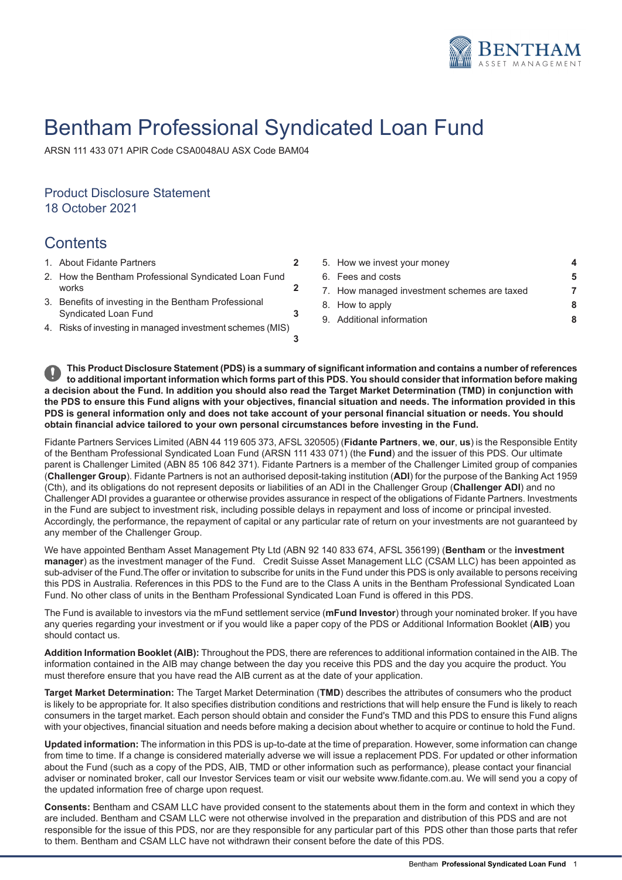

# Bentham Professional Syndicated Loan Fund

ARSN 111 433 071 APIR Code CSA0048AU ASX Code BAM04

# Product Disclosure Statement 18 October 2021

# **Contents**

- 1. About Fidante [Partners](#page-1-0) **[2](#page-1-0). About 2. How we invest your [money](#page-3-0) we invest your money we invest your money we invest your money we invest your money we invest your money we invest your money we invest your money we invest y**
- **[2](#page-1-1)** 2. How the Bentham [Professional](#page-1-1) Syndicated Loan Fund
- 3. Benefits of investing in the Bentham [Professional](#page-2-0) [Syndicated](#page-2-0) Loan Fund
- **[3](#page-2-1)** 4. Risks of investing in managed [investment](#page-2-1) schemes (MIS)

| About Fidante Partners                                 |  | 5. How we invest your money                 |   |  |
|--------------------------------------------------------|--|---------------------------------------------|---|--|
| How the Bentham Professional Syndicated Loan Fund      |  | 6. Fees and costs                           | 5 |  |
| works                                                  |  | 7. How managed investment schemes are taxed |   |  |
| Benefits of investing in the Bentham Professional      |  | 8. How to apply                             | 8 |  |
| Syndicated Loan Fund                                   |  | 9. Additional information                   | 8 |  |
| Risks of investing in managed investment schemes (MIS) |  |                                             |   |  |

This Product Disclosure Statement (PDS) is a summary of significant information and contains a number of references to additional important information which forms part of this PDS. You should consider that information before making a decision about the Fund. In addition you should also read the Target Market Determination (TMD) in conjunction with the PDS to ensure this Fund aligns with your objectives, financial situation and needs. The information provided in this PDS is general information only and does not take account of your personal financial situation or needs. You should **obtain financial advice tailored to your own personal circumstances before investing in the Fund.**

Fidante Partners Services Limited (ABN 44 119 605 373, AFSL 320505) (**Fidante Partners**, **we**, **our**, **us**) is the Responsible Entity of the Bentham Professional Syndicated Loan Fund (ARSN 111 433 071) (the **Fund**) and the issuer of this PDS. Our ultimate parent is Challenger Limited (ABN 85 106 842 371). Fidante Partners is a member of the Challenger Limited group of companies (**Challenger Group**). Fidante Partners is not an authorised deposit-taking institution (**ADI**) for the purpose of the Banking Act 1959 (Cth), and its obligations do not represent deposits or liabilities of an ADI in the Challenger Group (**Challenger ADI**) and no Challenger ADI provides a guarantee or otherwise provides assurance in respect of the obligations of Fidante Partners. Investments in the Fund are subject to investment risk, including possible delays in repayment and loss of income or principal invested. Accordingly, the performance, the repayment of capital or any particular rate of return on your investments are not guaranteed by any member of the Challenger Group.

We have appointed Bentham Asset Management Pty Ltd (ABN 92 140 833 674, AFSL 356199) (**Bentham** or the **investment manager**) as the investment manager of the Fund. Credit Suisse Asset Management LLC (CSAM LLC) has been appointed as sub-adviser of the Fund.The offer or invitation to subscribe for units in the Fund under this PDS is only available to persons receiving this PDS in Australia. References in this PDS to the Fund are to the Class A units in the Bentham Professional Syndicated Loan Fund. No other class of units in the Bentham Professional Syndicated Loan Fund is offered in this PDS.

The Fund is available to investors via the mFund settlement service (**mFund Investor**) through your nominated broker. If you have any queries regarding your investment or if you would like a paper copy of the PDS or Additional Information Booklet (**AIB**) you should contact us.

**Addition Information Booklet (AIB):** Throughout the PDS, there are references to additional information contained in the AIB. The information contained in the AIB may change between the day you receive this PDS and the day you acquire the product. You must therefore ensure that you have read the AIB current as at the date of your application.

**Target Market Determination:** The Target Market Determination (**TMD**) describes the attributes of consumers who the product is likely to be appropriate for. It also specifies distribution conditions and restrictions that will help ensure the Fund is likely to reach consumers in the target market. Each person should obtain and consider the Fund's TMD and this PDS to ensure this Fund aligns with your objectives, financial situation and needs before making a decision about whether to acquire or continue to hold the Fund.

**Updated information:** The information in this PDS is up-to-date at the time of preparation. However, some information can change from time to time. If a change is considered materially adverse we will issue a replacement PDS. For updated or other information about the Fund (such as a copy of the PDS, AIB, TMD or other information such as performance), please contact your financial adviser or nominated broker, call our Investor Services team or visit our website www.fidante.com.au. We will send you a copy of the updated information free of charge upon request.

**Consents:** Bentham and CSAM LLC have provided consent to the statements about them in the form and context in which they are included. Bentham and CSAM LLC were not otherwise involved in the preparation and distribution of this PDS and are not responsible for the issue of this PDS, nor are they responsible for any particular part of this PDS other than those parts that refer to them. Bentham and CSAM LLC have not withdrawn their consent before the date of this PDS.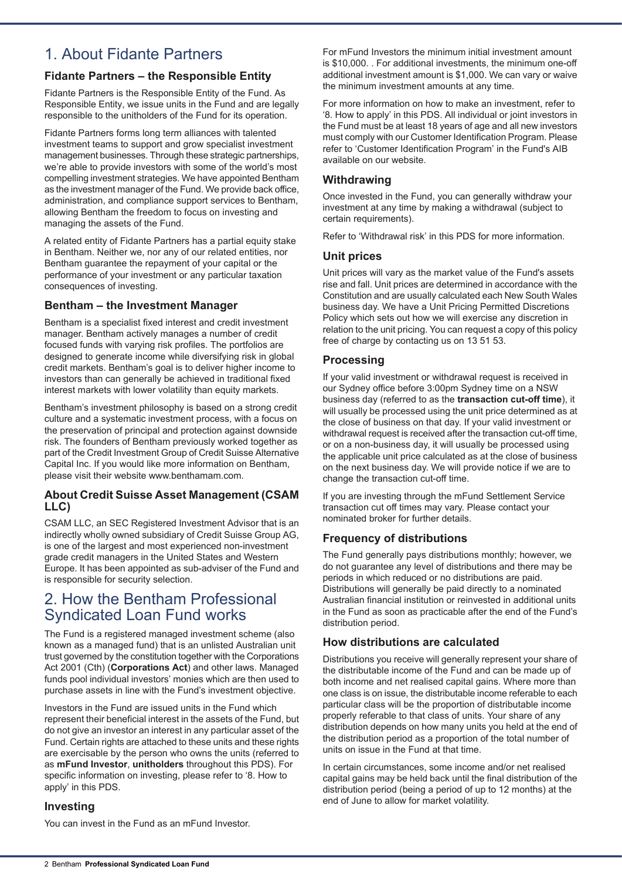# <span id="page-1-0"></span>1. About Fidante Partners

# **Fidante Partners – the Responsible Entity**

Fidante Partners is the Responsible Entity of the Fund. As Responsible Entity, we issue units in the Fund and are legally responsible to the unitholders of the Fund for its operation.

Fidante Partners forms long term alliances with talented investment teams to support and grow specialist investment management businesses. Through these strategic partnerships, we're able to provide investors with some of the world's most compelling investment strategies. We have appointed Bentham as the investment manager of the Fund. We provide back office, administration, and compliance support services to Bentham, allowing Bentham the freedom to focus on investing and managing the assets of the Fund.

A related entity of Fidante Partners has a partial equity stake in Bentham. Neither we, nor any of our related entities, nor Bentham guarantee the repayment of your capital or the performance of your investment or any particular taxation consequences of investing.

### **Bentham – the Investment Manager**

Bentham is a specialist fixed interest and credit investment manager. Bentham actively manages a number of credit focused funds with varying risk profiles. The portfolios are designed to generate income while diversifying risk in global credit markets. Bentham's goal is to deliver higher income to investors than can generally be achieved in traditional fixed interest markets with lower volatility than equity markets.

Bentham's investment philosophy is based on a strong credit culture and a systematic investment process, with a focus on the preservation of principal and protection against downside risk. The founders of Bentham previously worked together as part of the Credit Investment Group of Credit Suisse Alternative Capital Inc. If you would like more information on Bentham, please visit their website www.benthamam.com.

### **About Credit Suisse Asset Management (CSAM LLC)**

<span id="page-1-1"></span>CSAM LLC, an SEC Registered Investment Advisor that is an indirectly wholly owned subsidiary of Credit Suisse Group AG, is one of the largest and most experienced non-investment grade credit managers in the United States and Western Europe. It has been appointed as sub-adviser of the Fund and is responsible for security selection.

# 2. How the Bentham Professional Syndicated Loan Fund works

The Fund is a registered managed investment scheme (also known as a managed fund) that is an unlisted Australian unit trust governed by the constitution together with the Corporations Act 2001 (Cth) (**Corporations Act**) and other laws. Managed funds pool individual investors' monies which are then used to purchase assets in line with the Fund's investment objective.

Investors in the Fund are issued units in the Fund which represent their beneficial interest in the assets of the Fund, but do not give an investor an interest in any particular asset of the Fund. Certain rights are attached to these units and these rights are exercisable by the person who owns the units (referred to as **mFund Investor**, **unitholders** throughout this PDS). For specific information on investing, please refer to '8. How to apply' in this PDS.

### **Investing**

You can invest in the Fund as an mFund Investor.

For mFund Investors the minimum initial investment amount is \$10,000. . For additional investments, the minimum one-off additional investment amount is \$1,000. We can vary or waive the minimum investment amounts at any time.

For more information on how to make an investment, refer to '8. How to apply' in this PDS. All individual or joint investors in the Fund must be at least 18 years of age and all new investors must comply with our Customer Identification Program. Please refer to 'Customer Identification Program' in the Fund's AIB available on our website.

### **Withdrawing**

Once invested in the Fund, you can generally withdraw your investment at any time by making a withdrawal (subject to certain requirements).

Refer to 'Withdrawal risk' in this PDS for more information.

#### **Unit prices**

Unit prices will vary as the market value of the Fund's assets rise and fall. Unit prices are determined in accordance with the Constitution and are usually calculated each New South Wales business day. We have a Unit Pricing Permitted Discretions Policy which sets out how we will exercise any discretion in relation to the unit pricing. You can request a copy of this policy free of charge by contacting us on 13 51 53.

### **Processing**

If your valid investment or withdrawal request is received in our Sydney office before 3:00pm Sydney time on a NSW business day (referred to as the **transaction cut-off time**), it will usually be processed using the unit price determined as at the close of business on that day. If your valid investment or withdrawal request is received after the transaction cut-off time, or on a non-business day, it will usually be processed using the applicable unit price calculated as at the close of business on the next business day. We will provide notice if we are to change the transaction cut-off time.

If you are investing through the mFund Settlement Service transaction cut off times may vary. Please contact your nominated broker for further details.

## **Frequency of distributions**

The Fund generally pays distributions monthly; however, we do not guarantee any level of distributions and there may be periods in which reduced or no distributions are paid. Distributions will generally be paid directly to a nominated Australian financial institution or reinvested in additional units in the Fund as soon as practicable after the end of the Fund's distribution period.

### **How distributions are calculated**

Distributions you receive will generally represent your share of the distributable income of the Fund and can be made up of both income and net realised capital gains. Where more than one class is on issue, the distributable income referable to each particular class will be the proportion of distributable income properly referable to that class of units. Your share of any distribution depends on how many units you held at the end of the distribution period as a proportion of the total number of units on issue in the Fund at that time.

In certain circumstances, some income and/or net realised capital gains may be held back until the final distribution of the distribution period (being a period of up to 12 months) at the end of June to allow for market volatility.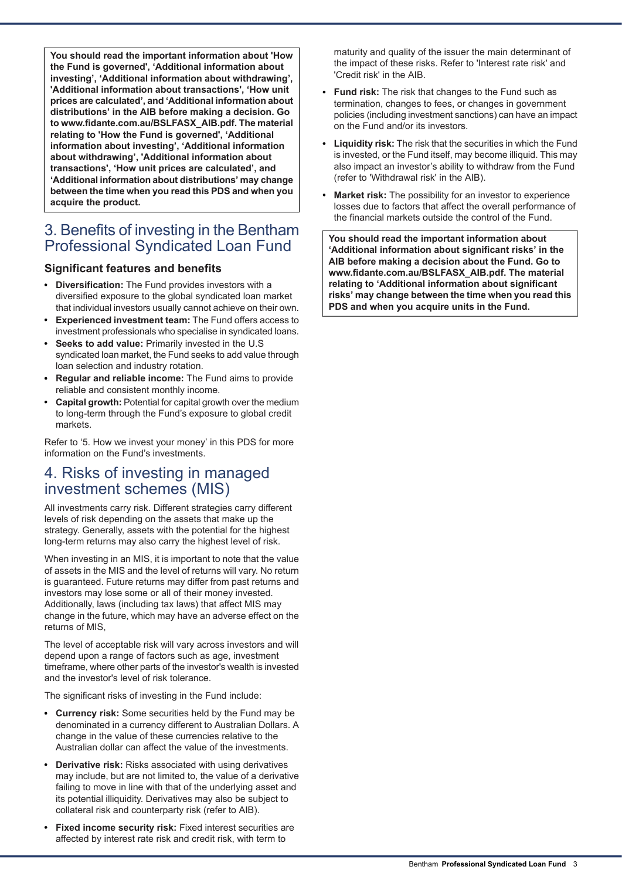**You should read the important information about 'How the Fund is governed', 'Additional information about investing', 'Additional information about withdrawing', 'Additional information about transactions', 'How unit prices are calculated', and 'Additional information about distributions' in the AIB before making a decision. Go to www.fidante.com.au/BSLFASX\_AIB.pdf. The material relating to 'How the Fund is governed', 'Additional information about investing', 'Additional information about withdrawing', 'Additional information about transactions', 'How unit prices are calculated', and 'Additional information about distributions' may change between the time when you read this PDS and when you acquire the product.**

# <span id="page-2-0"></span>3. Benefits of investing in the Bentham Professional Syndicated Loan Fund

# **Significant features and benefits**

- **Diversification:** The Fund provides investors with a diversified exposure to the global syndicated loan market that individual investors usually cannot achieve on their own.
- **Experienced investment team:** The Fund offers access to investment professionals who specialise in syndicated loans.
- **Seeks to add value:** Primarily invested in the U.S syndicated loan market, the Fund seeks to add value through loan selection and industry rotation.
- **Regular and reliable income:** The Fund aims to provide reliable and consistent monthly income.
- **Capital growth:** Potential for capital growth over the medium to long-term through the Fund's exposure to global credit markets.

<span id="page-2-1"></span>Refer to '5. How we invest your money' in this PDS for more information on the Fund's investments.

# 4. Risks of investing in managed investment schemes (MIS)

All investments carry risk. Different strategies carry different levels of risk depending on the assets that make up the strategy. Generally, assets with the potential for the highest long-term returns may also carry the highest level of risk.

When investing in an MIS, it is important to note that the value of assets in the MIS and the level of returns will vary. No return is guaranteed. Future returns may differ from past returns and investors may lose some or all of their money invested. Additionally, laws (including tax laws) that affect MIS may change in the future, which may have an adverse effect on the returns of MIS,

The level of acceptable risk will vary across investors and will depend upon a range of factors such as age, investment timeframe, where other parts of the investor's wealth is invested and the investor's level of risk tolerance.

The significant risks of investing in the Fund include:

- **Currency risk:** Some securities held by the Fund may be denominated in a currency different to Australian Dollars. A change in the value of these currencies relative to the Australian dollar can affect the value of the investments.
- **Derivative risk:** Risks associated with using derivatives may include, but are not limited to, the value of a derivative failing to move in line with that of the underlying asset and its potential illiquidity. Derivatives may also be subject to collateral risk and counterparty risk (refer to AIB).
- **Fixed income security risk:** Fixed interest securities are affected by interest rate risk and credit risk, with term to

maturity and quality of the issuer the main determinant of the impact of these risks. Refer to 'Interest rate risk' and 'Credit risk' in the AIB.

- **Fund risk:** The risk that changes to the Fund such as termination, changes to fees, or changes in government policies (including investment sanctions) can have an impact on the Fund and/or its investors.
- **Liquidity risk:** The risk that the securities in which the Fund is invested, or the Fund itself, may become illiquid. This may also impact an investor's ability to withdraw from the Fund (refer to 'Withdrawal risk' in the AIB).
- **Market risk:** The possibility for an investor to experience losses due to factors that affect the overall performance of the financial markets outside the control of the Fund.

**You should read the important information about 'Additional information about significant risks' in the AIB before making a decision about the Fund. Go to www.fidante.com.au/BSLFASX\_AIB.pdf. The material relating to 'Additional information about significant risks' may change between the time when you read this PDS and when you acquire units in the Fund.**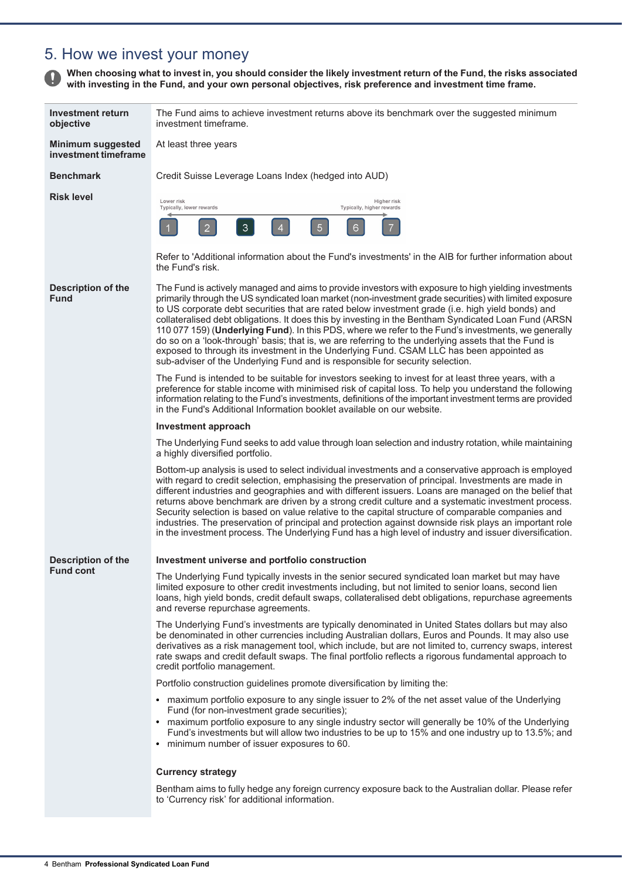# <span id="page-3-0"></span>5. How we invest your money

When choosing what to invest in, you should consider the likely investment return of the Fund, the risks associated **with investing in the Fund, and your own personal objectives, risk preference and investment time frame.**

| Investment return<br>objective                   | The Fund aims to achieve investment returns above its benchmark over the suggested minimum<br>investment timeframe.                                                                                                                                                                                                                                                                                                                                                                                                                                                                                                                                                                                                                                                                                                       |
|--------------------------------------------------|---------------------------------------------------------------------------------------------------------------------------------------------------------------------------------------------------------------------------------------------------------------------------------------------------------------------------------------------------------------------------------------------------------------------------------------------------------------------------------------------------------------------------------------------------------------------------------------------------------------------------------------------------------------------------------------------------------------------------------------------------------------------------------------------------------------------------|
| <b>Minimum suggested</b><br>investment timeframe | At least three years                                                                                                                                                                                                                                                                                                                                                                                                                                                                                                                                                                                                                                                                                                                                                                                                      |
| <b>Benchmark</b>                                 | Credit Suisse Leverage Loans Index (hedged into AUD)                                                                                                                                                                                                                                                                                                                                                                                                                                                                                                                                                                                                                                                                                                                                                                      |
| <b>Risk level</b>                                | Lower risk<br>Higher risk<br>Typically, lower rewards<br>Typically, higher rewards<br>3<br>$\overline{5}$<br>2<br>4<br>6                                                                                                                                                                                                                                                                                                                                                                                                                                                                                                                                                                                                                                                                                                  |
|                                                  | Refer to 'Additional information about the Fund's investments' in the AIB for further information about<br>the Fund's risk.                                                                                                                                                                                                                                                                                                                                                                                                                                                                                                                                                                                                                                                                                               |
| <b>Description of the</b><br><b>Fund</b>         | The Fund is actively managed and aims to provide investors with exposure to high yielding investments<br>primarily through the US syndicated loan market (non-investment grade securities) with limited exposure<br>to US corporate debt securities that are rated below investment grade (i.e. high yield bonds) and<br>collateralised debt obligations. It does this by investing in the Bentham Syndicated Loan Fund (ARSN<br>110 077 159) (Underlying Fund). In this PDS, where we refer to the Fund's investments, we generally<br>do so on a 'look-through' basis; that is, we are referring to the underlying assets that the Fund is<br>exposed to through its investment in the Underlying Fund. CSAM LLC has been appointed as<br>sub-adviser of the Underlying Fund and is responsible for security selection. |
|                                                  | The Fund is intended to be suitable for investors seeking to invest for at least three years, with a<br>preference for stable income with minimised risk of capital loss. To help you understand the following<br>information relating to the Fund's investments, definitions of the important investment terms are provided<br>in the Fund's Additional Information booklet available on our website.                                                                                                                                                                                                                                                                                                                                                                                                                    |
|                                                  | Investment approach                                                                                                                                                                                                                                                                                                                                                                                                                                                                                                                                                                                                                                                                                                                                                                                                       |
|                                                  | The Underlying Fund seeks to add value through loan selection and industry rotation, while maintaining<br>a highly diversified portfolio.                                                                                                                                                                                                                                                                                                                                                                                                                                                                                                                                                                                                                                                                                 |
|                                                  | Bottom-up analysis is used to select individual investments and a conservative approach is employed<br>with regard to credit selection, emphasising the preservation of principal. Investments are made in<br>different industries and geographies and with different issuers. Loans are managed on the belief that<br>returns above benchmark are driven by a strong credit culture and a systematic investment process.<br>Security selection is based on value relative to the capital structure of comparable companies and<br>industries. The preservation of principal and protection against downside risk plays an important role<br>in the investment process. The Underlying Fund has a high level of industry and issuer diversification.                                                                      |
| <b>Description of the</b>                        | Investment universe and portfolio construction                                                                                                                                                                                                                                                                                                                                                                                                                                                                                                                                                                                                                                                                                                                                                                            |
| <b>Fund cont</b>                                 | The Underlying Fund typically invests in the senior secured syndicated loan market but may have<br>limited exposure to other credit investments including, but not limited to senior loans, second lien<br>loans, high yield bonds, credit default swaps, collateralised debt obligations, repurchase agreements<br>and reverse repurchase agreements.                                                                                                                                                                                                                                                                                                                                                                                                                                                                    |
|                                                  | The Underlying Fund's investments are typically denominated in United States dollars but may also<br>be denominated in other currencies including Australian dollars, Euros and Pounds. It may also use<br>derivatives as a risk management tool, which include, but are not limited to, currency swaps, interest<br>rate swaps and credit default swaps. The final portfolio reflects a rigorous fundamental approach to<br>credit portfolio management.                                                                                                                                                                                                                                                                                                                                                                 |
|                                                  | Portfolio construction guidelines promote diversification by limiting the:                                                                                                                                                                                                                                                                                                                                                                                                                                                                                                                                                                                                                                                                                                                                                |
|                                                  | • maximum portfolio exposure to any single issuer to 2% of the net asset value of the Underlying<br>Fund (for non-investment grade securities);<br>• maximum portfolio exposure to any single industry sector will generally be 10% of the Underlying<br>Fund's investments but will allow two industries to be up to 15% and one industry up to 13.5%; and<br>• minimum number of issuer exposures to 60.                                                                                                                                                                                                                                                                                                                                                                                                                |
|                                                  | <b>Currency strategy</b>                                                                                                                                                                                                                                                                                                                                                                                                                                                                                                                                                                                                                                                                                                                                                                                                  |
|                                                  | Bentham aims to fully hedge any foreign currency exposure back to the Australian dollar. Please refer                                                                                                                                                                                                                                                                                                                                                                                                                                                                                                                                                                                                                                                                                                                     |
|                                                  | to 'Currency risk' for additional information.                                                                                                                                                                                                                                                                                                                                                                                                                                                                                                                                                                                                                                                                                                                                                                            |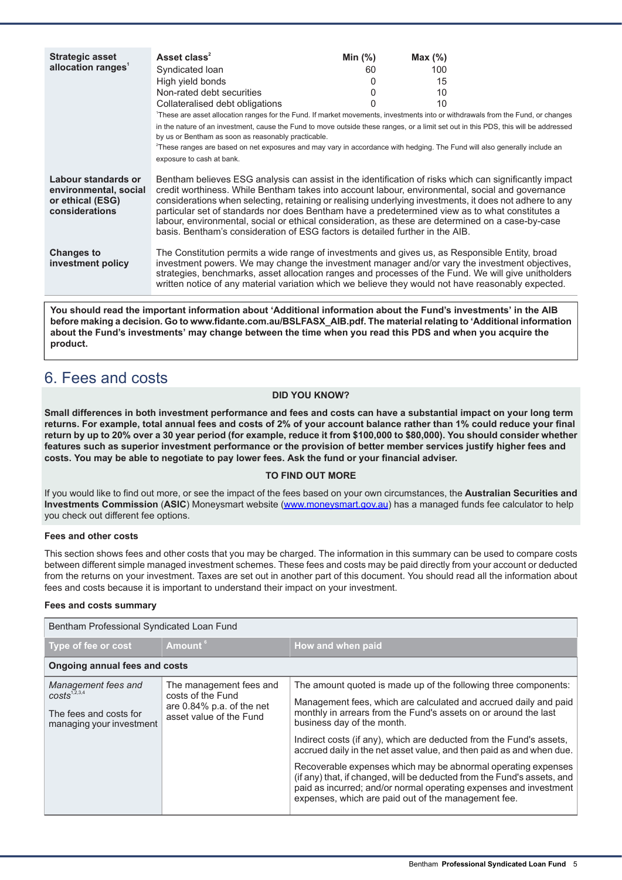| <b>Strategic asset</b>                                                             | Asset class <sup>2</sup>                                                                                                                                                                                                                                                                                                                                                                                                                                                                                                                                                                                       | Min $(%)$ | Max (%) |  |
|------------------------------------------------------------------------------------|----------------------------------------------------------------------------------------------------------------------------------------------------------------------------------------------------------------------------------------------------------------------------------------------------------------------------------------------------------------------------------------------------------------------------------------------------------------------------------------------------------------------------------------------------------------------------------------------------------------|-----------|---------|--|
| allocation ranges <sup>1</sup>                                                     | Syndicated loan                                                                                                                                                                                                                                                                                                                                                                                                                                                                                                                                                                                                | 60        | 100     |  |
|                                                                                    | High yield bonds                                                                                                                                                                                                                                                                                                                                                                                                                                                                                                                                                                                               |           | 15      |  |
|                                                                                    | Non-rated debt securities                                                                                                                                                                                                                                                                                                                                                                                                                                                                                                                                                                                      | 0         | 10      |  |
|                                                                                    | Collateralised debt obligations                                                                                                                                                                                                                                                                                                                                                                                                                                                                                                                                                                                |           | 10      |  |
|                                                                                    | 'These are asset allocation ranges for the Fund. If market movements, investments into or withdrawals from the Fund, or changes                                                                                                                                                                                                                                                                                                                                                                                                                                                                                |           |         |  |
|                                                                                    | in the nature of an investment, cause the Fund to move outside these ranges, or a limit set out in this PDS, this will be addressed                                                                                                                                                                                                                                                                                                                                                                                                                                                                            |           |         |  |
|                                                                                    | by us or Bentham as soon as reasonably practicable.                                                                                                                                                                                                                                                                                                                                                                                                                                                                                                                                                            |           |         |  |
|                                                                                    | <sup>2</sup> These ranges are based on net exposures and may vary in accordance with hedging. The Fund will also generally include an                                                                                                                                                                                                                                                                                                                                                                                                                                                                          |           |         |  |
|                                                                                    | exposure to cash at bank.                                                                                                                                                                                                                                                                                                                                                                                                                                                                                                                                                                                      |           |         |  |
| Labour standards or<br>environmental, social<br>or ethical (ESG)<br>considerations | Bentham believes ESG analysis can assist in the identification of risks which can significantly impact<br>credit worthiness. While Bentham takes into account labour, environmental, social and governance<br>considerations when selecting, retaining or realising underlying investments, it does not adhere to any<br>particular set of standards nor does Bentham have a predetermined view as to what constitutes a<br>labour, environmental, social or ethical consideration, as these are determined on a case-by-case<br>basis. Bentham's consideration of ESG factors is detailed further in the AIB. |           |         |  |
| <b>Changes to</b><br>investment policy                                             | The Constitution permits a wide range of investments and gives us, as Responsible Entity, broad<br>investment powers. We may change the investment manager and/or vary the investment objectives,<br>strategies, benchmarks, asset allocation ranges and processes of the Fund. We will give unitholders<br>written notice of any material variation which we believe they would not have reasonably expected.                                                                                                                                                                                                 |           |         |  |

<span id="page-4-0"></span>**You should read the important information about 'Additional information about the Fund's investments' in the AIB before making a decision. Go to www.fidante.com.au/BSLFASX\_AIB.pdf. The material relating to 'Additional information** about the Fund's investments' may change between the time when you read this PDS and when you acquire the **product.**

# 6. Fees and costs

#### **DID YOU KNOW?**

Small differences in both investment performance and fees and costs can have a substantial impact on your long term returns. For example, total annual fees and costs of 2% of your account balance rather than 1% could reduce your final return by up to 20% over a 30 year period (for example, reduce it from \$100,000 to \$80,000). You should consider whether features such as superior investment performance or the provision of better member services justify higher fees and **costs. You may be able to negotiate to pay lower fees. Ask the fund or your financial adviser.**

#### **TO FIND OUT MORE**

If you would like to find out more, or see the impact of the fees based on your own circumstances, the **Australian Securities and Investments Commission** (**ASIC**) Moneysmart website ([www.moneysmart.gov.au\)](http://www.moneysmart.gov.au) has a managed funds fee calculator to help you check out different fee options.

#### **Fees and other costs**

This section shows fees and other costs that you may be charged. The information in this summary can be used to compare costs between different simple managed investment schemes. These fees and costs may be paid directly from your account or deducted from the returns on your investment. Taxes are set out in another part of this document. You should read all the information about fees and costs because it is important to understand their impact on your investment.

#### **Fees and costs summary**

| Bentham Professional Syndicated Loan Fund                                                             |                                                                                                         |                                                                                                                                                                                                                                                                                                                                                                                                                                                                                                                                                                                                                                                             |  |
|-------------------------------------------------------------------------------------------------------|---------------------------------------------------------------------------------------------------------|-------------------------------------------------------------------------------------------------------------------------------------------------------------------------------------------------------------------------------------------------------------------------------------------------------------------------------------------------------------------------------------------------------------------------------------------------------------------------------------------------------------------------------------------------------------------------------------------------------------------------------------------------------------|--|
| Type of fee or cost                                                                                   | Amount <sup>6</sup>                                                                                     | How and when paid                                                                                                                                                                                                                                                                                                                                                                                                                                                                                                                                                                                                                                           |  |
| Ongoing annual fees and costs                                                                         |                                                                                                         |                                                                                                                                                                                                                                                                                                                                                                                                                                                                                                                                                                                                                                                             |  |
| Management fees and<br>costs <sup>1,2,3,4</sup><br>The fees and costs for<br>managing your investment | The management fees and<br>costs of the Fund<br>are $0.84\%$ p.a. of the net<br>asset value of the Fund | The amount quoted is made up of the following three components:<br>Management fees, which are calculated and accrued daily and paid<br>monthly in arrears from the Fund's assets on or around the last<br>business day of the month.<br>Indirect costs (if any), which are deducted from the Fund's assets,<br>accrued daily in the net asset value, and then paid as and when due.<br>Recoverable expenses which may be abnormal operating expenses<br>(if any) that, if changed, will be deducted from the Fund's assets, and<br>paid as incurred; and/or normal operating expenses and investment<br>expenses, which are paid out of the management fee. |  |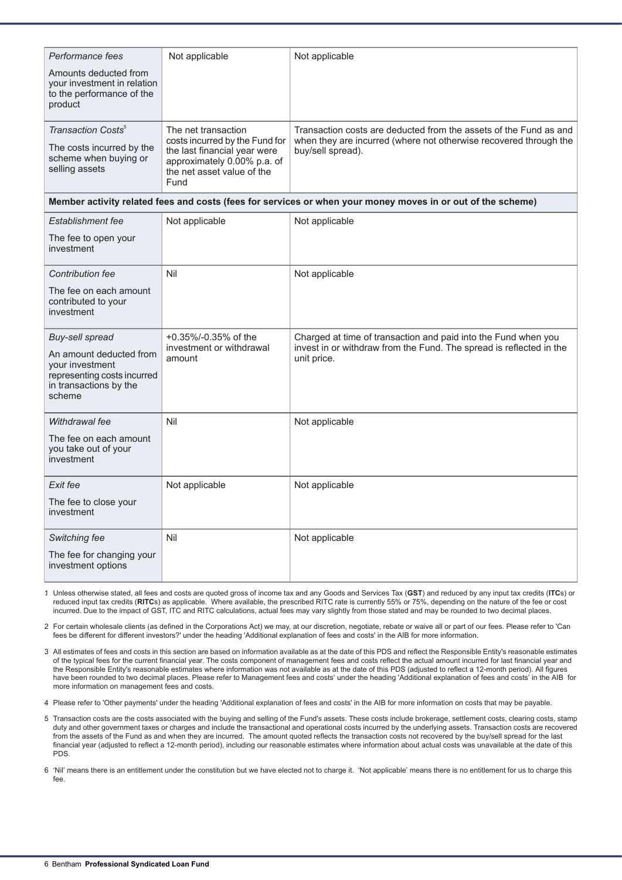| Performance fees                                                                                              | Not applicable                                                                                                                      | Not applicable                                                                                              |
|---------------------------------------------------------------------------------------------------------------|-------------------------------------------------------------------------------------------------------------------------------------|-------------------------------------------------------------------------------------------------------------|
| Amounts deducted from<br>your investment in relation<br>to the performance of the<br>product                  |                                                                                                                                     |                                                                                                             |
| Transaction Costs <sup>5</sup>                                                                                | The net transaction                                                                                                                 | Transaction costs are deducted from the assets of the Fund as and                                           |
| The costs incurred by the<br>scheme when buying or<br>selling assets                                          | costs incurred by the Fund for<br>the last financial year were<br>approximately 0.00% p.a. of<br>the net asset value of the<br>Fund | when they are incurred (where not otherwise recovered through the<br>buy/sell spread).                      |
|                                                                                                               |                                                                                                                                     | Member activity related fees and costs (fees for services or when your money moves in or out of the scheme) |
| <b>Establishment fee</b>                                                                                      | Not applicable                                                                                                                      | Not applicable                                                                                              |
| The fee to open your<br>investment                                                                            |                                                                                                                                     |                                                                                                             |
| Contribution fee                                                                                              | Nil                                                                                                                                 | Not applicable                                                                                              |
| The fee on each amount<br>contributed to your<br>investment                                                   |                                                                                                                                     |                                                                                                             |
| Buy-sell spread                                                                                               | +0.35%/-0.35% of the                                                                                                                | Charged at time of transaction and paid into the Fund when you                                              |
| An amount deducted from<br>your investment<br>representing costs incurred<br>in transactions by the<br>scheme | investment or withdrawal<br>amount                                                                                                  | invest in or withdraw from the Fund. The spread is reflected in the<br>unit price.                          |
| Withdrawal fee                                                                                                | Nil                                                                                                                                 | Not applicable                                                                                              |
| The fee on each amount<br>you take out of your<br>investment                                                  |                                                                                                                                     |                                                                                                             |
| Exit fee                                                                                                      | Not applicable                                                                                                                      | Not applicable                                                                                              |
| The fee to close your<br>investment                                                                           |                                                                                                                                     |                                                                                                             |
| Switching fee                                                                                                 | Nil                                                                                                                                 | Not applicable                                                                                              |
| The fee for changing your<br>investment options                                                               |                                                                                                                                     |                                                                                                             |

1. Unless otherwise stated, all fees and costs are quoted gross of income tax and any Goods and Services Tax (**GST**) and reduced by any input tax credits (**ITC**s) or reduced input tax credits (**RITC**s) as applicable. Where available, the prescribed RITC rate is currently 55% or 75%, depending on the nature of the fee or cost incurred. Due to the impact of GST, ITC and RITC calculations, actual fees may vary slightly from those stated and may be rounded to two decimal places.

2. For certain wholesale clients (as defined in the Corporations Act) we may, at our discretion, negotiate, rebate or waive all or part of our fees. Please refer to 'Can fees be different for different investors?' under the heading 'Additional explanation of fees and costs' in the AIB for more information.

3. All estimates of fees and costs in this section are based on information available as at the date of this PDS and reflect the Responsible Entity's reasonable estimates of the typical fees for the current financial year. The costs component of management fees and costs reflect the actual amount incurred for last financial year and the Responsible Entity's reasonable estimates where information was not available as at the date of this PDS (adjusted to reflect a 12-month period). All figures have been rounded to two decimal places. Please refer to Management fees and costs' under the heading 'Additional explanation of fees and costs' in the AIB for more information on management fees and costs.

4. Please refer to 'Other payments' under the heading 'Additional explanation of fees and costs' in the AIB for more information on costs that may be payable.

5. Transaction costs are the costs associated with the buying and selling of the Fund's assets. These costs include brokerage, settlement costs, clearing costs, stamp duty and other government taxes or charges and include the transactional and operational costs incurred by the underlying assets. Transaction costs are recovered from the assets of the Fund as and when they are incurred. The amount quoted reflects the transaction costs not recovered by the buy/sell spread for the last financial year (adjusted to reflect a 12-month period), including our reasonable estimates where information about actual costs was unavailable at the date of this PDS.

6. 'Nil' means there is an entitlement under the constitution but we have elected not to charge it. 'Not applicable' means there is no entitlement for us to charge this fee.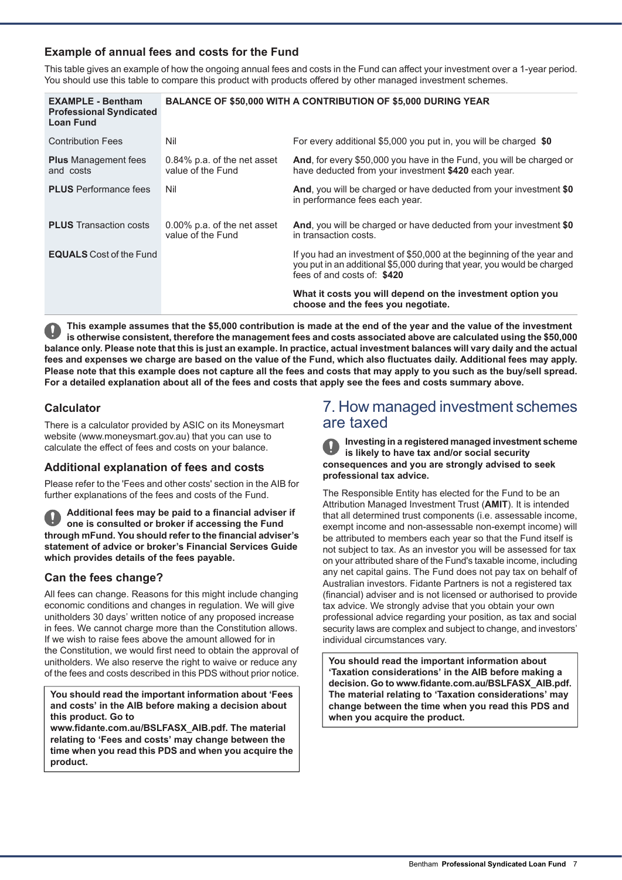# **Example of annual fees and costs for the Fund**

This table gives an example of how the ongoing annual fees and costs in the Fund can affect your investment over a 1-year period. You should use this table to compare this product with products offered by other managed investment schemes.

| <b>EXAMPLE - Bentham</b><br><b>Professional Syndicated</b><br><b>Loan Fund</b> | <b>BALANCE OF \$50,000 WITH A CONTRIBUTION OF \$5,000 DURING YEAR</b> |                                                                                                                                                                                 |
|--------------------------------------------------------------------------------|-----------------------------------------------------------------------|---------------------------------------------------------------------------------------------------------------------------------------------------------------------------------|
| <b>Contribution Fees</b>                                                       | Nil                                                                   | For every additional \$5,000 you put in, you will be charged \$0                                                                                                                |
| <b>Plus</b> Management fees<br>and costs                                       | $0.84\%$ p.a. of the net asset<br>value of the Fund                   | And, for every \$50,000 you have in the Fund, you will be charged or<br>have deducted from your investment \$420 each year.                                                     |
| <b>PLUS</b> Performance fees                                                   | Nil                                                                   | And, you will be charged or have deducted from your investment \$0<br>in performance fees each year.                                                                            |
| <b>PLUS</b> Transaction costs                                                  | 0.00% p.a. of the net asset<br>value of the Fund                      | And, you will be charged or have deducted from your investment \$0<br>in transaction costs.                                                                                     |
| <b>EQUALS</b> Cost of the Fund                                                 |                                                                       | If you had an investment of \$50,000 at the beginning of the year and<br>you put in an additional \$5,000 during that year, you would be charged<br>fees of and costs of: \$420 |
|                                                                                |                                                                       | What it costs you will depend on the investment option you<br>choose and the fees you negotiate.                                                                                |

This example assumes that the \$5,000 contribution is made at the end of the year and the value of the investment is otherwise consistent, therefore the management fees and costs associated above are calculated using the \$50,000 balance only. Please note that this is just an example. In practice, actual investment balances will vary daily and the actual fees and expenses we charge are based on the value of the Fund, which also fluctuates daily. Additional fees may apply. Please note that this example does not capture all the fees and costs that may apply to you such as the buy/sell spread. For a detailed explanation about all of the fees and costs that apply see the fees and costs summary above.

# **Calculator**

There is a calculator provided by ASIC on its Moneysmart website (www.moneysmart.gov.au) that you can use to calculate the effect of fees and costs on your balance.

## **Additional explanation of fees and costs**

Please refer to the 'Fees and other costs' section in the AIB for further explanations of the fees and costs of the Fund.

**Additional fees may be paid to a financial adviser if one is consulted or broker if accessing the Fund through mFund. You should refer to the financial adviser's statement of advice or broker's Financial Services Guide which provides details of the fees payable.**

## **Can the fees change?**

All fees can change. Reasons for this might include changing economic conditions and changes in regulation. We will give unitholders 30 days' written notice of any proposed increase in fees. We cannot charge more than the Constitution allows. If we wish to raise fees above the amount allowed for in the Constitution, we would first need to obtain the approval of unitholders. We also reserve the right to waive or reduce any of the fees and costs described in this PDS without prior notice.

**You should read the important information about 'Fees and costs' in the AIB before making a decision about this product. Go to**

**www.fidante.com.au/BSLFASX\_AIB.pdf. The material relating to 'Fees and costs' may change between the time when you read this PDS and when you acquire the product.**

# <span id="page-6-0"></span>7. How managed investment schemes are taxed

**Investing in a registered managed investment scheme is likely to have tax and/or social security consequences and you are strongly advised to seek professional tax advice.**

The Responsible Entity has elected for the Fund to be an Attribution Managed Investment Trust (**AMIT**). It is intended that all determined trust components (i.e. assessable income, exempt income and non-assessable non-exempt income) will be attributed to members each year so that the Fund itself is not subject to tax. As an investor you will be assessed for tax on your attributed share of the Fund's taxable income, including any net capital gains. The Fund does not pay tax on behalf of Australian investors. Fidante Partners is not a registered tax (financial) adviser and is not licensed or authorised to provide tax advice. We strongly advise that you obtain your own professional advice regarding your position, as tax and social security laws are complex and subject to change, and investors' individual circumstances vary.

**You should read the important information about 'Taxation considerations' in the AIB before making a decision. Go to www.fidante.com.au/BSLFASX\_AIB.pdf. The material relating to 'Taxation considerations' may change between the time when you read this PDS and when you acquire the product.**